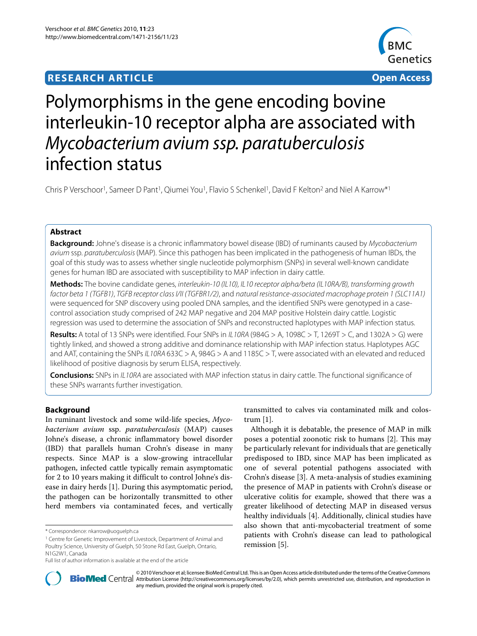# **RESEARCH ARTICLE Open Access**



# Polymorphisms in the gene encoding bovine interleukin-10 receptor alpha are associated with Mycobacterium avium ssp. paratuberculosis infection status

Chris P Verschoor<sup>1</sup>, Sameer D Pant<sup>1</sup>, Qiumei You<sup>1</sup>, Flavio S Schenkel<sup>1</sup>, David F Kelton<sup>2</sup> and Niel A Karrow<sup>\*1</sup>

# **Abstract**

**Background:** Johne's disease is a chronic inflammatory bowel disease (IBD) of ruminants caused by Mycobacterium avium ssp. paratuberculosis (MAP). Since this pathogen has been implicated in the pathogenesis of human IBDs, the goal of this study was to assess whether single nucleotide polymorphism (SNPs) in several well-known candidate genes for human IBD are associated with susceptibility to MAP infection in dairy cattle.

**Methods:** The bovine candidate genes, interleukin-10 (IL10), IL10 receptor alpha/beta (IL10RA/B), transforming growth factor beta 1 (TGFB1), TGFB receptor class I/II (TGFBR1/2), and natural resistance-associated macrophage protein 1 (SLC11A1) were sequenced for SNP discovery using pooled DNA samples, and the identified SNPs were genotyped in a casecontrol association study comprised of 242 MAP negative and 204 MAP positive Holstein dairy cattle. Logistic regression was used to determine the association of SNPs and reconstructed haplotypes with MAP infection status.

**Results:** A total of 13 SNPs were identified. Four SNPs in IL10RA (984G > A, 1098C > T, 1269T > C, and 1302A > G) were tightly linked, and showed a strong additive and dominance relationship with MAP infection status. Haplotypes AGC and AAT, containing the SNPs IL10RA 633C > A, 984G > A and 1185C > T, were associated with an elevated and reduced likelihood of positive diagnosis by serum ELISA, respectively.

**Conclusions:** SNPs in IL10RA are associated with MAP infection status in dairy cattle. The functional significance of these SNPs warrants further investigation.

# **Background**

In ruminant livestock and some wild-life species, *Mycobacterium avium* ssp. *paratuberculosis* (MAP) causes Johne's disease, a chronic inflammatory bowel disorder (IBD) that parallels human Crohn's disease in many respects. Since MAP is a slow-growing intracellular pathogen, infected cattle typically remain asymptomatic for 2 to 10 years making it difficult to control Johne's disease in dairy herds [[1\]](#page-7-0). During this asymptomatic period, the pathogen can be horizontally transmitted to other herd members via contaminated feces, and vertically transmitted to calves via contaminated milk and colostrum [[1\]](#page-7-0).

Although it is debatable, the presence of MAP in milk poses a potential zoonotic risk to humans [\[2](#page-7-1)]. This may be particularly relevant for individuals that are genetically predisposed to IBD, since MAP has been implicated as one of several potential pathogens associated with Crohn's disease [[3\]](#page-7-2). A meta-analysis of studies examining the presence of MAP in patients with Crohn's disease or ulcerative colitis for example, showed that there was a greater likelihood of detecting MAP in diseased versus healthy individuals [\[4](#page-7-3)]. Additionally, clinical studies have also shown that anti-mycobacterial treatment of some patients with Crohn's disease can lead to pathological remission [\[5](#page-7-4)].



© 2010 Verschoor et al; licensee [BioMed](http://www.biomedcentral.com/) Central Ltd. This is an Open Access article distributed under the terms of the Creative Commons (http://creativecommons.org/licenses/by/2.0), which permits unrestricted use, distribu any medium, provided the original work is properly cited.

<sup>\*</sup> Correspondence: nkarrow@uoguelph.ca

<sup>1</sup> Centre for Genetic Improvement of Livestock, Department of Animal and Poultry Science, University of Guelph, 50 Stone Rd East, Guelph, Ontario, N1G2W1, Canada

Full list of author information is available at the end of the article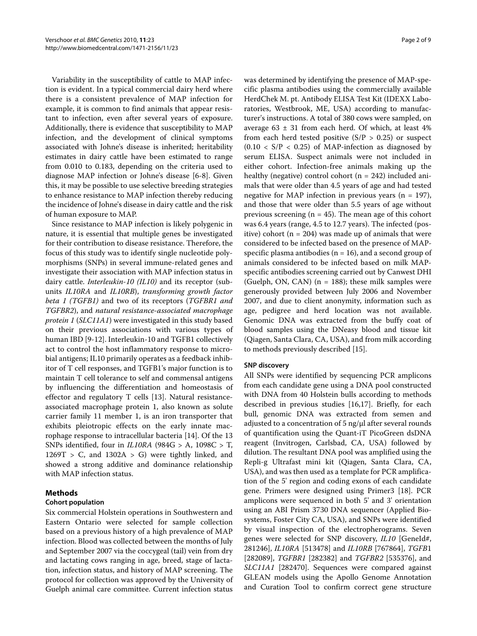Variability in the susceptibility of cattle to MAP infection is evident. In a typical commercial dairy herd where there is a consistent prevalence of MAP infection for example, it is common to find animals that appear resistant to infection, even after several years of exposure. Additionally, there is evidence that susceptibility to MAP infection, and the development of clinical symptoms associated with Johne's disease is inherited; heritability estimates in dairy cattle have been estimated to range from 0.010 to 0.183, depending on the criteria used to diagnose MAP infection or Johne's disease [[6-](#page-7-5)[8\]](#page-7-6). Given this, it may be possible to use selective breeding strategies to enhance resistance to MAP infection thereby reducing the incidence of Johne's disease in dairy cattle and the risk of human exposure to MAP.

Since resistance to MAP infection is likely polygenic in nature, it is essential that multiple genes be investigated for their contribution to disease resistance. Therefore, the focus of this study was to identify single nucleotide polymorphisms (SNPs) in several immune-related genes and investigate their association with MAP infection status in dairy cattle. *Interleukin-10 (IL10)* and its receptor (subunits *IL10RA* and *IL10RB*), *transforming growth factor beta 1 (TGFB1)* and two of its receptors (*TGFBR1 and TGFBR2*), and *natural resistance-associated macrophage protein 1* (*SLC11A1*) were investigated in this study based on their previous associations with various types of human IBD [\[9](#page-7-7)-[12\]](#page-7-8). Interleukin-10 and TGFB1 collectively act to control the host inflammatory response to microbial antigens; IL10 primarily operates as a feedback inhibitor of T cell responses, and TGFB1's major function is to maintain T cell tolerance to self and commensal antigens by influencing the differentiation and homeostasis of effector and regulatory T cells [\[13](#page-7-9)]. Natural resistanceassociated macrophage protein 1, also known as solute carrier family 11 member 1, is an iron transporter that exhibits pleiotropic effects on the early innate macrophage response to intracellular bacteria [[14](#page-7-10)]. Of the 13 SNPs identified, four in *IL10RA* (984G > A, 1098C > T,  $1269T > C$ , and  $1302A > G$ ) were tightly linked, and showed a strong additive and dominance relationship with MAP infection status.

# **Methods**

# **Cohort population**

Six commercial Holstein operations in Southwestern and Eastern Ontario were selected for sample collection based on a previous history of a high prevalence of MAP infection. Blood was collected between the months of July and September 2007 via the coccygeal (tail) vein from dry and lactating cows ranging in age, breed, stage of lactation, infection status, and history of MAP screening. The protocol for collection was approved by the University of Guelph animal care committee. Current infection status

was determined by identifying the presence of MAP-specific plasma antibodies using the commercially available HerdChek M. pt. Antibody ELISA Test Kit (IDEXX Laboratories, Westbrook, ME, USA) according to manufacturer's instructions. A total of 380 cows were sampled, on average  $63 \pm 31$  from each herd. Of which, at least  $4\%$ from each herd tested positive  $(S/P > 0.25)$  or suspect  $(0.10 \lt S/P \lt 0.25)$  of MAP-infection as diagnosed by serum ELISA. Suspect animals were not included in either cohort. Infection-free animals making up the healthy (negative) control cohort ( $n = 242$ ) included animals that were older than 4.5 years of age and had tested negative for MAP infection in previous years ( $n = 197$ ), and those that were older than 5.5 years of age without previous screening ( $n = 45$ ). The mean age of this cohort was 6.4 years (range, 4.5 to 12.7 years). The infected (positive) cohort ( $n = 204$ ) was made up of animals that were considered to be infected based on the presence of MAPspecific plasma antibodies ( $n = 16$ ), and a second group of animals considered to be infected based on milk MAPspecific antibodies screening carried out by Canwest DHI (Guelph, ON, CAN)  $(n = 188)$ ; these milk samples were generously provided between July 2006 and November 2007, and due to client anonymity, information such as age, pedigree and herd location was not available. Genomic DNA was extracted from the buffy coat of blood samples using the DNeasy blood and tissue kit (Qiagen, Santa Clara, CA, USA), and from milk according to methods previously described [\[15\]](#page-7-11).

#### **SNP discovery**

All SNPs were identified by sequencing PCR amplicons from each candidate gene using a DNA pool constructed with DNA from 40 Holstein bulls according to methods described in previous studies [\[16,](#page-7-12)[17\]](#page-7-13). Briefly, for each bull, genomic DNA was extracted from semen and adjusted to a concentration of 5 ng/μl after several rounds of quantification using the Quant-iT PicoGreen dsDNA reagent (Invitrogen, Carlsbad, CA, USA) followed by dilution. The resultant DNA pool was amplified using the Repli-g Ultrafast mini kit (Qiagen, Santa Clara, CA, USA), and was then used as a template for PCR amplification of the 5' region and coding exons of each candidate gene. Primers were designed using Primer3 [\[18\]](#page-7-14). PCR amplicons were sequenced in both 5' and 3' orientation using an ABI Prism 3730 DNA sequencer (Applied Biosystems, Foster City CA, USA), and SNPs were identified by visual inspection of the electropherograms. Seven genes were selected for SNP discovery, *IL10* [GeneId#, 281246], *IL10RA* [513478] and *IL10RB* [767864], *TGFB*1 [282089], *TGFBR1* [282382] and *TGFBR2* [535376], and *SLC11A1* [282470]. Sequences were compared against GLEAN models using the Apollo Genome Annotation and Curation Tool to confirm correct gene structure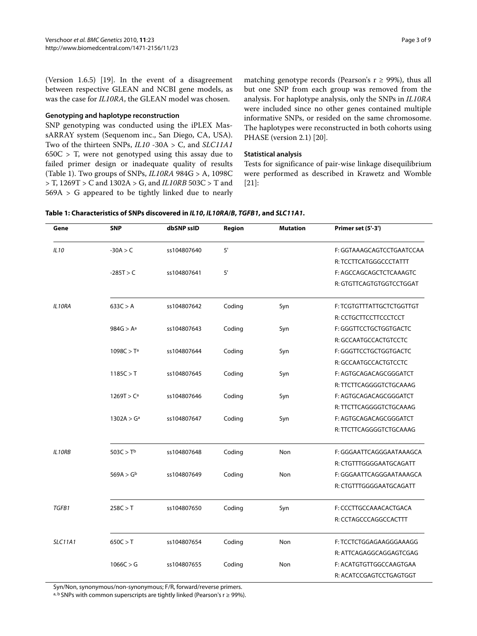(Version 1.6.5) [[19\]](#page-7-15). In the event of a disagreement between respective GLEAN and NCBI gene models, as was the case for *IL10RA*, the GLEAN model was chosen.

#### **Genotyping and haplotype reconstruction**

SNP genotyping was conducted using the iPLEX MassARRAY system (Sequenom inc., San Diego, CA, USA). Two of the thirteen SNPs, *IL10* -30A > C, and *SLC11A1*  $650C > T$ , were not genotyped using this assay due to failed primer design or inadequate quality of results (Table 1). Two groups of SNPs, *IL10RA* 984G > A, 1098C > T, 1269T > C and 1302A > G, and *IL10RB* 503C > T and 569A > G appeared to be tightly linked due to nearly

matching genotype records (Pearson's  $r \ge 99\%$ ), thus all but one SNP from each group was removed from the analysis. For haplotype analysis, only the SNPs in *IL10RA* were included since no other genes contained multiple informative SNPs, or resided on the same chromosome. The haplotypes were reconstructed in both cohorts using PHASE (version 2.1) [[20\]](#page-7-16).

#### **Statistical analysis**

Tests for significance of pair-wise linkage disequilibrium were performed as described in Krawetz and Womble [[21\]](#page-7-17):

| Gene           | <b>SNP</b>             | dbSNP ssID  | Region | <b>Mutation</b> | Primer set (5'-3')        |
|----------------|------------------------|-------------|--------|-----------------|---------------------------|
| IL10           | $-30A > C$             | ss104807640 | $5'$   |                 | F: GGTAAAGCAGTCCTGAATCCAA |
|                |                        |             |        |                 | R: TCCTTCATGGGCCCTATTT    |
|                | $-285T > C$            | ss104807641 | $5'$   |                 | F: AGCCAGCAGCTCTCAAAGTC   |
|                |                        |             |        |                 | R: GTGTTCAGTGTGGTCCTGGAT  |
| IL10RA         | 633C > A               | ss104807642 | Coding | Syn             | F: TCGTGTTTATTGCTCTGGTTGT |
|                |                        |             |        |                 | R: CCTGCTTCCTTCCCTCCT     |
|                | $984G > A^a$           | ss104807643 | Coding | Syn             | F: GGGTTCCTGCTGGTGACTC    |
|                |                        |             |        |                 | R: GCCAATGCCACTGTCCTC     |
|                | 1098C > T <sup>a</sup> | ss104807644 | Coding | Syn             | F: GGGTTCCTGCTGGTGACTC    |
|                |                        |             |        |                 | R: GCCAATGCCACTGTCCTC     |
|                | 1185C > T              | ss104807645 | Coding | Syn             | F: AGTGCAGACAGCGGGATCT    |
|                |                        |             |        |                 | R: TTCTTCAGGGGTCTGCAAAG   |
|                | 1269T > C <sup>a</sup> | ss104807646 | Coding | Syn             | F: AGTGCAGACAGCGGGATCT    |
|                |                        |             |        |                 | R: TTCTTCAGGGGTCTGCAAAG   |
|                | 1302A > G <sup>a</sup> | ss104807647 | Coding | Syn             | F: AGTGCAGACAGCGGGATCT    |
|                |                        |             |        |                 | R: TTCTTCAGGGGTCTGCAAAG   |
| IL10RB         | 503C > T <sup>b</sup>  | ss104807648 | Coding | Non             | F: GGGAATTCAGGGAATAAAGCA  |
|                |                        |             |        |                 | R: CTGTTTGGGGAATGCAGATT   |
|                | 569A > G <sup>b</sup>  | ss104807649 | Coding | Non             | F: GGGAATTCAGGGAATAAAGCA  |
|                |                        |             |        |                 | R: CTGTTTGGGGAATGCAGATT   |
| TGFB1          | 258C > T               | ss104807650 | Coding | Syn             | F: CCCTTGCCAAACACTGACA    |
|                |                        |             |        |                 | R: CCTAGCCCAGGCCACTTT     |
| <b>SLC11A1</b> | 650C > T               | ss104807654 | Coding | Non             | F: TCCTCTGGAGAAGGGAAAGG   |
|                |                        |             |        |                 | R: ATTCAGAGGCAGGAGTCGAG   |
|                | 1066C > G              | ss104807655 | Coding | Non             | F: ACATGTGTTGGCCAAGTGAA   |
|                |                        |             |        |                 | R: ACATCCGAGTCCTGAGTGGT   |

**Table 1: Characteristics of SNPs discovered in IL10, IL10RA/B, TGFB1, and SLC11A1.**

Syn/Non, synonymous/non-synonymous; F/R, forward/reverse primers.

a, b SNPs with common superscripts are tightly linked (Pearson's  $r \ge 99\%$ ).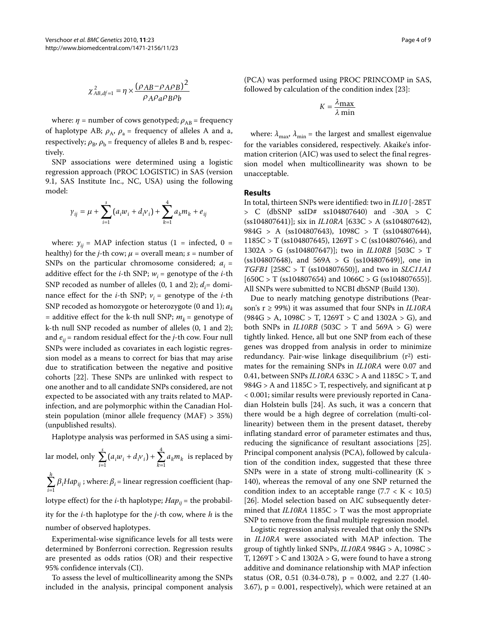$$
\chi^2_{AB,df=1}=\eta\times\frac{\left(\rho_{AB}-\rho_A\rho_B\right)^2}{\rho_A\rho_a\rho_B\rho_b}
$$

where:  $\eta$  = number of cows genotyped;  $\rho_{AB}$  = frequency of haplotype AB;  $\rho_A$ ,  $\rho_a$  = frequency of alleles A and a, respectively;  $\rho_B$ ,  $\rho_b$  = frequency of alleles B and b, respectively.

SNP associations were determined using a logistic regression approach (PROC LOGISTIC) in SAS (version 9.1, SAS Institute Inc., NC, USA) using the following model:

$$
\gamma_{ij} = \mu + \sum_{i=1}^{s} (a_i w_i + d_i v_i) + \sum_{k=1}^{4} a_k m_k + e_{ij}
$$

where:  $y_{ii}$  = MAP infection status (1 = infected, 0 = healthy) for the *j*-th cow;  $\mu$  = overall mean; *s* = number of SNPs on the particular chromosome considered;  $a_i$  = additive effect for the *i*-th SNP;  $w_i$  = genotype of the *i*-th SNP recoded as number of alleles  $(0, 1 \text{ and } 2)$ ;  $d_i$ = dominance effect for the *i*-th SNP;  $v_i$  = genotype of the *i*-th SNP recoded as homozygote or heterozygote (0 and 1); *ak* = additive effect for the k-th null SNP;  $m_k$  = genotype of k-th null SNP recoded as number of alleles (0, 1 and 2); and  $e_{ij}$  = random residual effect for the *j*-th cow. Four null SNPs were included as covariates in each logistic regression model as a means to correct for bias that may arise due to stratification between the negative and positive cohorts [\[22\]](#page-7-18). These SNPs are unlinked with respect to one another and to all candidate SNPs considered, are not expected to be associated with any traits related to MAPinfection, and are polymorphic within the Canadian Holstein population (minor allele frequency (MAF) > 35%) (unpublished results).

Haplotype analysis was performed in SAS using a simi-

lar model, only  $\sum_{i=1} (a_i w_i + d_i v_i) + \sum_{k=1} a_k m_k$  is replaced by  $\sum_{i=1} \beta_i H a p_{ij}$  ; where:  $\beta_i$  = linear regression coefficient (haplotype effect) for the *i*-th haplotype;  $Hap_{ii}$  = the probability for the *i*-th haplotype for the *j*-th cow, where *h* is the number of observed haplotypes.  $\sum_{i=1}^{s} (a_i w_i + d_i v_i) +$  $\sum_{i=1}^{\infty} (a_i w_i + d_i v_i) + \sum_{k=1}^{\infty}$ 4 1 *h Hap*  $\sum_{i=1}$ 

Experimental-wise significance levels for all tests were determined by Bonferroni correction. Regression results are presented as odds ratios (OR) and their respective 95% confidence intervals (CI).

To assess the level of multicollinearity among the SNPs included in the analysis, principal component analysis

(PCA) was performed using PROC PRINCOMP in SAS, followed by calculation of the condition index [[23](#page-7-19)]:

$$
K = \frac{\lambda_{\text{max}}}{\lambda \min}
$$

where:  $\lambda_{\text{max}}$ ,  $\lambda_{\text{min}}$  = the largest and smallest eigenvalue for the variables considered, respectively. Akaike's information criterion (AIC) was used to select the final regression model when multicollinearity was shown to be unacceptable.

### **Results**

In total, thirteen SNPs were identified: two in *IL10* [-285T > C (dbSNP ssID# ss104807640) and -30A > C (ss104807641)]; six in *IL10RA* [633C > A (ss104807642), 984G > A (ss104807643), 1098C > T (ss104807644),  $1185C > T$  (ss104807645), 1269T > C (ss104807646), and 1302A > G (ss104807647)]; two in *IL10RB* [503C > T  $(ss104807648)$ , and  $569A > G (ss104807649)$ , one in *TGFB1* [258C > T (ss104807650)], and two in *SLC11A1*  $[650C > T (ss104807654)$  and  $1066C > G (ss104807655)].$ All SNPs were submitted to NCBI dbSNP (Build 130).

Due to nearly matching genotype distributions (Pearson's r ≥ 99%) it was assumed that four SNPs in *IL10RA*  $(984G > A, 1098C > T, 1269T > C$  and  $1302A > G$ ), and both SNPs in *IL10RB* (503C > T and 569A > G) were tightly linked. Hence, all but one SNP from each of these genes was dropped from analysis in order to minimize redundancy. Pair-wise linkage disequilibrium (r<sup>2</sup>) estimates for the remaining SNPs in *IL10RA* were 0.07 and 0.41, between SNPs *IL10RA* 633C > A and 1185C > T, and  $984G > A$  and  $1185C > T$ , respectively, and significant at p < 0.001; similar results were previously reported in Canadian Holstein bulls [[24\]](#page-7-20). As such, it was a concern that there would be a high degree of correlation (multi-collinearity) between them in the present dataset, thereby inflating standard error of parameter estimates and thus, reducing the significance of resultant associations [\[25](#page-7-21)]. Principal component analysis (PCA), followed by calculation of the condition index, suggested that these three SNPs were in a state of strong multi-collinearity  $(K >$ 140), whereas the removal of any one SNP returned the condition index to an acceptable range  $(7.7 < K < 10.5)$ [[26\]](#page-7-22). Model selection based on AIC subsequently determined that *IL10RA* 1185C > T was the most appropriate SNP to remove from the final multiple regression model.

Logistic regression analysis revealed that only the SNPs in *IL10RA* were associated with MAP infection. The group of tightly linked SNPs, *IL10RA* 984G > A, 1098C > T,  $1269T > C$  and  $1302A > G$ , were found to have a strong additive and dominance relationship with MAP infection status (OR, 0.51 (0.34-0.78), p = 0.002, and 2.27 (1.40- 3.67), p = 0.001, respectively), which were retained at an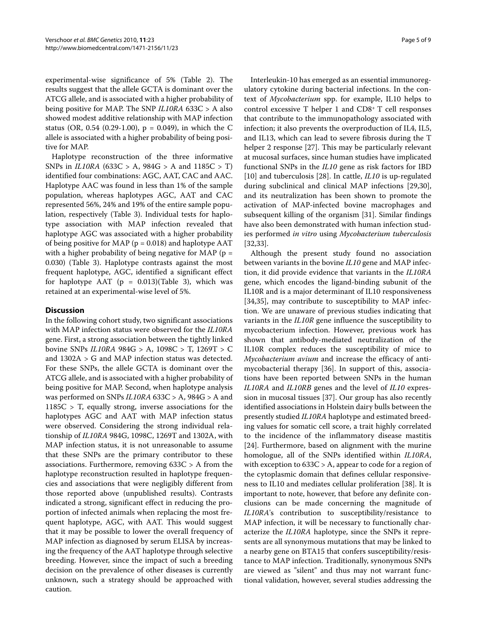experimental-wise significance of 5% (Table 2). The results suggest that the allele GCTA is dominant over the ATCG allele, and is associated with a higher probability of being positive for MAP. The SNP *IL10RA* 633C > A also showed modest additive relationship with MAP infection status (OR, 0.54 (0.29-1.00),  $p = 0.049$ ), in which the C allele is associated with a higher probability of being positive for MAP.

Haplotype reconstruction of the three informative SNPs in *IL10RA* (633C > A, 984G > A and 1185C > T) identified four combinations: AGC, AAT, CAC and AAC. Haplotype AAC was found in less than 1% of the sample population, whereas haplotypes AGC, AAT and CAC represented 56%, 24% and 19% of the entire sample population, respectively (Table 3). Individual tests for haplotype association with MAP infection revealed that haplotype AGC was associated with a higher probability of being positive for MAP ( $p = 0.018$ ) and haplotype AAT with a higher probability of being negative for MAP ( $p =$ 0.030) (Table 3). Haplotype contrasts against the most frequent haplotype, AGC, identified a significant effect for haplotype AAT ( $p = 0.013$  $p = 0.013$ )(Table 3), which was retained at an experimental-wise level of 5%.

# **Discussion**

In the following cohort study, two significant associations with MAP infection status were observed for the *IL10RA* gene. First, a strong association between the tightly linked bovine SNPs *IL10RA* 984G > A, 1098C > T, 1269T > C and 1302A > G and MAP infection status was detected. For these SNPs, the allele GCTA is dominant over the ATCG allele, and is associated with a higher probability of being positive for MAP. Second, when haplotype analysis was performed on SNPs *IL10RA* 633C > A, 984G > A and  $1185C > T$ , equally strong, inverse associations for the haplotypes AGC and AAT with MAP infection status were observed. Considering the strong individual relationship of *IL10RA* 984G, 1098C, 1269T and 1302A, with MAP infection status, it is not unreasonable to assume that these SNPs are the primary contributor to these associations. Furthermore, removing 633C > A from the haplotype reconstruction resulted in haplotype frequencies and associations that were negligibly different from those reported above (unpublished results). Contrasts indicated a strong, significant effect in reducing the proportion of infected animals when replacing the most frequent haplotype, AGC, with AAT. This would suggest that it may be possible to lower the overall frequency of MAP infection as diagnosed by serum ELISA by increasing the frequency of the AAT haplotype through selective breeding. However, since the impact of such a breeding decision on the prevalence of other diseases is currently unknown, such a strategy should be approached with caution.

Interleukin-10 has emerged as an essential immunoregulatory cytokine during bacterial infections. In the context of *Mycobacterium* spp. for example, IL10 helps to control excessive T helper 1 and CD8+ T cell responses that contribute to the immunopathology associated with infection; it also prevents the overproduction of IL4, IL5, and IL13, which can lead to severe fibrosis during the T helper 2 response [[27\]](#page-7-23). This may be particularly relevant at mucosal surfaces, since human studies have implicated functional SNPs in the *IL10* gene as risk factors for IBD [[10\]](#page-7-24) and tuberculosis [[28\]](#page-7-25). In cattle, *IL10* is up-regulated during subclinical and clinical MAP infections [\[29](#page-7-26)[,30](#page-7-27)], and its neutralization has been shown to promote the activation of MAP-infected bovine macrophages and subsequent killing of the organism [[31\]](#page-7-28). Similar findings have also been demonstrated with human infection studies performed *in vitro* using *Mycobacterium tuberculosis* [[32,](#page-7-29)[33\]](#page-7-30).

Although the present study found no association between variants in the bovine *IL10* gene and MAP infection, it did provide evidence that variants in the *IL10RA* gene, which encodes the ligand-binding subunit of the IL10R and is a major determinant of IL10 responsiveness [[34,](#page-7-31)[35\]](#page-7-32), may contribute to susceptibility to MAP infection. We are unaware of previous studies indicating that variants in the *IL10R* gene influence the susceptibility to mycobacterium infection. However, previous work has shown that antibody-mediated neutralization of the IL10R complex reduces the susceptibility of mice to *Mycobacterium avium* and increase the efficacy of antimycobacterial therapy [\[36](#page-7-33)]. In support of this, associations have been reported between SNPs in the human *IL10RA* and *IL10RB* genes and the level of *IL10* expression in mucosal tissues [\[37](#page-7-34)]. Our group has also recently identified associations in Holstein dairy bulls between the presently studied *IL10RA* haplotype and estimated breeding values for somatic cell score, a trait highly correlated to the incidence of the inflammatory disease mastitis [[24\]](#page-7-20). Furthermore, based on alignment with the murine homologue, all of the SNPs identified within *IL10RA*, with exception to 633C > A, appear to code for a region of the cytoplasmic domain that defines cellular responsiveness to IL10 and mediates cellular proliferation [[38\]](#page-7-35). It is important to note, however, that before any definite conclusions can be made concerning the magnitude of *IL10RA*'s contribution to susceptibility/resistance to MAP infection, it will be necessary to functionally characterize the *IL10RA* haplotype, since the SNPs it represents are all synonymous mutations that may be linked to a nearby gene on BTA15 that confers susceptibility/resistance to MAP infection. Traditionally, synonymous SNPs are viewed as "silent" and thus may not warrant functional validation, however, several studies addressing the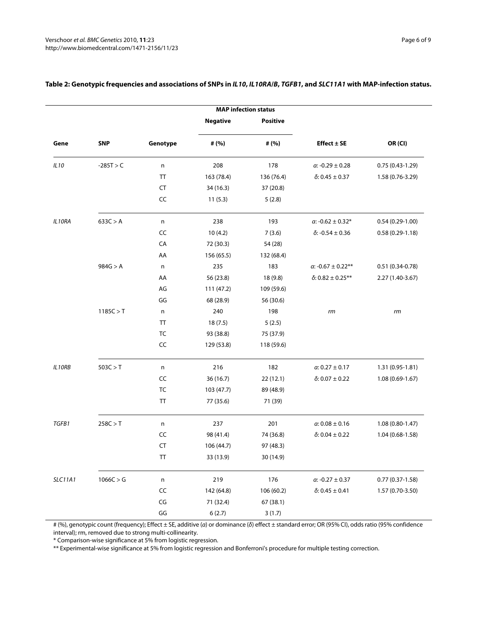|                |             |                          |                 | <b>MAP infection status</b> |                               |                   |
|----------------|-------------|--------------------------|-----------------|-----------------------------|-------------------------------|-------------------|
|                |             |                          | <b>Negative</b> | <b>Positive</b>             |                               |                   |
| Gene           | <b>SNP</b>  | Genotype                 | # (%)           | # (%)                       | Effect $\pm$ SE               | OR (CI)           |
| IL10           | $-285T > C$ | n                        | 208             | 178                         | $\alpha$ : -0.29 $\pm$ 0.28   | $0.75(0.43-1.29)$ |
|                |             | TT                       | 163 (78.4)      | 136 (76.4)                  | $\delta$ : 0.45 ± 0.37        | 1.58 (0.76-3.29)  |
|                |             | <b>CT</b>                | 34 (16.3)       | 37 (20.8)                   |                               |                   |
|                |             | CC                       | 11(5.3)         | 5(2.8)                      |                               |                   |
| IL10RA         | 633C > A    | n                        | 238             | 193                         | $\alpha$ : -0.62 $\pm$ 0.32*  | $0.54(0.29-1.00)$ |
|                |             | CC                       | 10(4.2)         | 7(3.6)                      | $\delta$ : -0.54 $\pm$ 0.36   | $0.58(0.29-1.18)$ |
|                |             | CA                       | 72 (30.3)       | 54 (28)                     |                               |                   |
|                |             | AA                       | 156 (65.5)      | 132 (68.4)                  |                               |                   |
|                | 984G > A    | n                        | 235             | 183                         | $\alpha$ : -0.67 $\pm$ 0.22** | $0.51(0.34-0.78)$ |
|                |             | AA                       | 56 (23.8)       | 18 (9.8)                    | $\delta$ : 0.82 ± 0.25**      | 2.27 (1.40-3.67)  |
|                |             | AG                       | 111 (47.2)      | 109 (59.6)                  |                               |                   |
|                |             | GG                       | 68 (28.9)       | 56 (30.6)                   |                               |                   |
|                | 1185C > T   | n                        | 240             | 198                         | rm                            | rm                |
|                |             | TT                       | 18(7.5)         | 5(2.5)                      |                               |                   |
|                |             | TC                       | 93 (38.8)       | 75 (37.9)                   |                               |                   |
|                |             | CC                       | 129 (53.8)      | 118 (59.6)                  |                               |                   |
| IL10RB         | 503C > T    | $\sf n$                  | 216             | 182                         | $\alpha$ 0.27 $\pm$ 0.17      | 1.31 (0.95-1.81)  |
|                |             | CC                       | 36 (16.7)       | 22(12.1)                    | $\delta$ : 0.07 ± 0.22        | 1.08 (0.69-1.67)  |
|                |             | TC                       | 103 (47.7)      | 89 (48.9)                   |                               |                   |
|                |             | TT                       | 77 (35.6)       | 71 (39)                     |                               |                   |
| TGFB1          | 258C > T    | n                        | 237             | 201                         | $\alpha$ : 0.08 $\pm$ 0.16    | $1.08(0.80-1.47)$ |
|                |             | CC                       | 98 (41.4)       | 74 (36.8)                   | δ: 0.04 $\pm$ 0.22            | 1.04 (0.68-1.58)  |
|                |             | <b>CT</b>                | 106 (44.7)      | 97 (48.3)                   |                               |                   |
|                |             | TT                       | 33 (13.9)       | 30 (14.9)                   |                               |                   |
| <b>SLC11A1</b> | 1066C > G   | $\sf n$                  | 219             | 176                         | $\alpha$ : -0.27 $\pm$ 0.37   | $0.77(0.37-1.58)$ |
|                |             | $\sf CC$                 | 142 (64.8)      | 106 (60.2)                  | $\delta$ : 0.45 $\pm$ 0.41    | 1.57 (0.70-3.50)  |
|                |             | $\mathsf{CG}\phantom{.}$ | 71 (32.4)       | 67 (38.1)                   |                               |                   |
|                |             | $\mathsf{G}\mathsf{G}$   | 6(2.7)          | 3(1.7)                      |                               |                   |

# **Table 2: Genotypic frequencies and associations of SNPs in IL10, IL10RA/B, TGFB1, and SLC11A1 with MAP-infection status.**

# (%), genotypic count (frequency); Effect ± SE, additive (α) or dominance (δ) effect ± standard error; OR (95% CI), odds ratio (95% confidence interval); rm, removed due to strong multi-collinearity.

\* Comparison-wise significance at 5% from logistic regression.

\*\* Experimental-wise significance at 5% from logistic regression and Bonferroni's procedure for multiple testing correction.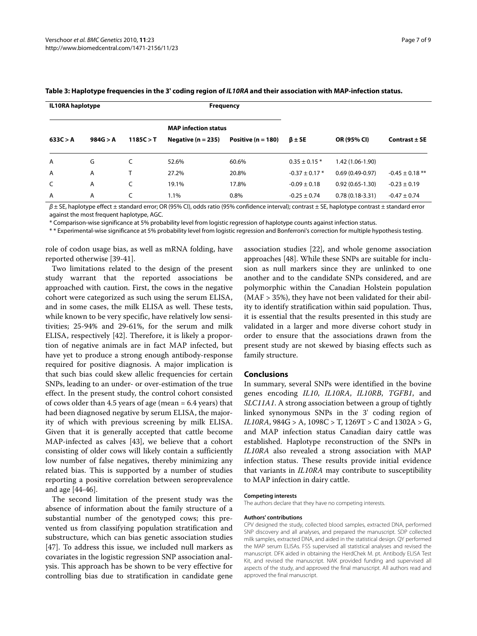| <b>IL10RA</b> haplotype |          |           |                             | <b>Frequency</b>       |                    |                     |                     |
|-------------------------|----------|-----------|-----------------------------|------------------------|--------------------|---------------------|---------------------|
|                         |          |           | <b>MAP</b> infection status |                        |                    |                     |                     |
| 633C > A                | 984G > A | 1185C > T | Negative ( $n = 235$ )      | Positive ( $n = 180$ ) | $\beta \pm SE$     | OR (95% CI)         | Contrast $\pm$ SE   |
| A                       | G        |           | 52.6%                       | 60.6%                  | $0.35 \pm 0.15$ *  | 1.42 (1.06-1.90)    |                     |
| A                       | A        | т         | 27.2%                       | 20.8%                  | $-0.37 \pm 0.17$ * | $0.69(0.49-0.97)$   | $-0.45 \pm 0.18$ ** |
| C                       | A        |           | 19.1%                       | 17.8%                  | $-0.09 \pm 0.18$   | $0.92(0.65 - 1.30)$ | $-0.23 \pm 0.19$    |
| A                       | A        |           | 1.1%                        | 0.8%                   | $-0.25 \pm 0.74$   | $0.78(0.18-3.31)$   | $-0.47 \pm 0.74$    |

#### <span id="page-6-0"></span>**Table 3: Haplotype frequencies in the 3' coding region of IL10RA and their association with MAP-infection status.**

 $\beta$  ± SE, haplotype effect ± standard error; OR (95% CI), odds ratio (95% confidence interval); contrast ± SE, haplotype contrast ± standard error against the most frequent haplotype, AGC.

\* Comparison-wise significance at 5% probability level from logistic regression of haplotype counts against infection status.

\* \* Experimental-wise significance at 5% probability level from logistic regression and Bonferroni's correction for multiple hypothesis testing.

role of codon usage bias, as well as mRNA folding, have reported otherwise [\[39](#page-7-36)-[41\]](#page-8-0).

Two limitations related to the design of the present study warrant that the reported associations be approached with caution. First, the cows in the negative cohort were categorized as such using the serum ELISA, and in some cases, the milk ELISA as well. These tests, while known to be very specific, have relatively low sensitivities; 25-94% and 29-61%, for the serum and milk ELISA, respectively [[42](#page-8-1)]. Therefore, it is likely a proportion of negative animals are in fact MAP infected, but have yet to produce a strong enough antibody-response required for positive diagnosis. A major implication is that such bias could skew allelic frequencies for certain SNPs, leading to an under- or over-estimation of the true effect. In the present study, the control cohort consisted of cows older than 4.5 years of age (mean = 6.4 years) that had been diagnosed negative by serum ELISA, the majority of which with previous screening by milk ELISA. Given that it is generally accepted that cattle become MAP-infected as calves [[43\]](#page-8-2), we believe that a cohort consisting of older cows will likely contain a sufficiently low number of false negatives, thereby minimizing any related bias. This is supported by a number of studies reporting a positive correlation between seroprevalence and age [\[44](#page-8-3)-[46\]](#page-8-4).

The second limitation of the present study was the absence of information about the family structure of a substantial number of the genotyped cows; this prevented us from classifying population stratification and substructure, which can bias genetic association studies [[47\]](#page-8-5). To address this issue, we included null markers as covariates in the logistic regression SNP association analysis. This approach has be shown to be very effective for controlling bias due to stratification in candidate gene

association studies [[22\]](#page-7-18), and whole genome association approaches [[48\]](#page-8-6). While these SNPs are suitable for inclusion as null markers since they are unlinked to one another and to the candidate SNPs considered, and are polymorphic within the Canadian Holstein population (MAF > 35%), they have not been validated for their ability to identify stratification within said population. Thus, it is essential that the results presented in this study are validated in a larger and more diverse cohort study in order to ensure that the associations drawn from the present study are not skewed by biasing effects such as family structure.

#### **Conclusions**

In summary, several SNPs were identified in the bovine genes encoding *IL10*, *IL10RA*, *IL10RB*, *TGFB1*, and *SLC11A1*. A strong association between a group of tightly linked synonymous SNPs in the 3' coding region of *IL10RA*,  $984G > A$ ,  $1098C > T$ ,  $1269T > C$  and  $1302A > G$ , and MAP infection status Canadian dairy cattle was established. Haplotype reconstruction of the SNPs in *IL10RA* also revealed a strong association with MAP infection status. These results provide initial evidence that variants in *IL10RA* may contribute to susceptibility to MAP infection in dairy cattle.

#### **Competing interests**

The authors declare that they have no competing interests.

#### **Authors' contributions**

CPV designed the study, collected blood samples, extracted DNA, performed SNP discovery and all analyses, and prepared the manuscript. SDP collected milk samples, extracted DNA, and aided in the statistical design. OY performed the MAP serum ELISAs. FSS supervised all statistical analyses and revised the manuscript. DFK aided in obtaining the HerdChek M. pt. Antibody ELISA Test Kit, and revised the manuscript. NAK provided funding and supervised all aspects of the study, and approved the final manuscript. All authors read and approved the final manuscript.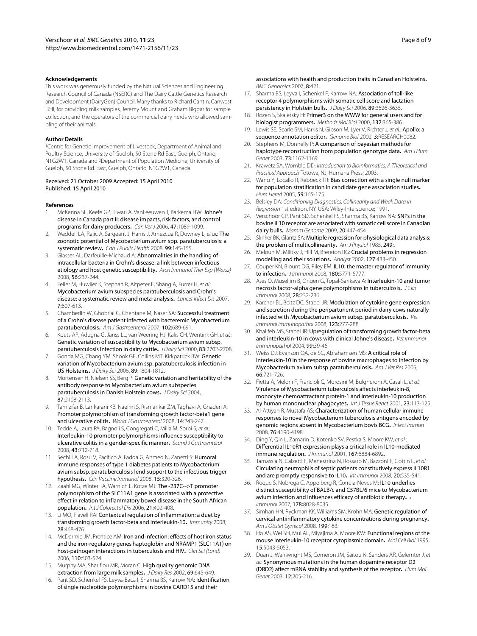#### **Acknowledgements**

This work was generously funded by the Natural Sciences and Engineering Research Council of Canada (NSERC) and The Dairy Cattle Genetics Research and Development (DairyGen) Council. Many thanks to Richard Cantin, Canwest DHI, for providing milk samples, Jeremy Mount and Graham Biggar for sample collection, and the operators of the commercial dairy herds who allowed sampling of their animals.

#### **Author Details**

<sup>1</sup>Centre for Genetic Improvement of Livestock, Department of Animal and Poultry Science, University of Guelph, 50 Stone Rd East, Guelph, Ontario, N1G2W1, Canada and 2Department of Population Medicine, University of Guelph, 50 Stone Rd. East, Guelph, Ontario, N1G2W1, Canada

#### Received: 21 October 2009 Accepted: 15 April 2010 Published: 15 April 2010

#### **References**

- <span id="page-7-0"></span>1. McKenna SL, Keefe GP, Tiwari A, VanLeeuwen J, Barkema HW: Johne's disease in Canada part II: disease impacts, risk factors, and control programs for dairy producers**.** Can Vet J 2006, 47:1089-1099.
- <span id="page-7-1"></span>2. Waddell LA, Rajic A, Sargeant J, Harris J, Amezcua R, Downey L, et al.: The zoonotic potential of Mycobacterium avium spp. paratuberculosis: a systematic review**.** Can J Public Health 2008, 99:145-155.
- <span id="page-7-2"></span>3. Glasser AL, Darfeuille-Michaud A: Abnormalities in the handling of intracellular bacteria in Crohn's disease: a link between infectious etiology and host genetic susceptibility**.** Arch Immunol Ther Exp (Warsz) 2008, 56:237-244.
- <span id="page-7-3"></span>4. Feller M, Huwiler K, Stephan R, Altpeter E, Shang A, Furrer H, et al.: Mycobacterium avium subspecies paratuberculosis and Crohn's disease: a systematic review and meta-analysis**.** Lancet Infect Dis 2007, 7:607-613.
- <span id="page-7-4"></span>Chamberlin W, Ghobrial G, Chehtane M, Naser SA: Successful treatment of a Crohn's disease patient infected with bacteremic Mycobacterium paratuberculosis**.** Am J Gastroenterol 2007, 102:689-691.
- <span id="page-7-5"></span>Koets AP, Adugna G, Janss LL, van Weering HJ, Kalis CH, Wentink GH, et al.: Genetic variation of susceptibility to Mycobacterium avium subsp. paratuberculosis infection in dairy cattle**.** J Dairy Sci 2000, 83:2702-2708.
- 7. Gonda MG, Chang YM, Shook GE, Collins MT, Kirkpatrick BW: Genetic variation of Mycobacterium avium ssp. paratuberculosis infection in US Holsteins**.** J Dairy Sci 2006, 89:1804-1812.
- <span id="page-7-6"></span>8. Mortensen H, Nielsen SS, Berg P: Genetic variation and heritability of the antibody response to Mycobacterium avium subspecies paratuberculosis in Danish Holstein cows**.** J Dairy Sci 2004, 87:2108-2113.
- <span id="page-7-7"></span>Tamizifar B, Lankarani KB, Naeimi S, Rismankar ZM, Taghavi A, Ghaderi A: Promoter polymorphism of transforming growth factor-beta1 gene and ulcerative colitis**[.](http://www.ncbi.nlm.nih.gov/entrez/query.fcgi?cmd=Retrieve&db=PubMed&dopt=Abstract&list_uids=18186562)** World J Gastroenterol 2008, 14:243-247.
- <span id="page-7-24"></span>10. Tedde A, Laura PA, Bagnoli S, Congregati C, Milla M, Sorbi S, et al.: Interleukin-10 promoter polymorphisms influence susceptibility to ulcerative colitis in a gender-specific manner**.** Scand J Gastroenterol 2008, 43:712-718.
- 11. Sechi LA, Rosu V, Pacifico A, Fadda G, Ahmed N, Zanetti S: Humoral immune responses of type 1 diabetes patients to Mycobacterium avium subsp. paratuberculosis lend support to the infectious trigger hypothesis**.** Clin Vaccine Immunol 2008, 15:320-326.
- <span id="page-7-8"></span>12. Zaahl MG, Winter TA, Warnich L, Kotze MJ: The -237C-->T promoter polymorphism of the SLC11A1 gene is associated with a protective effect in relation to inflammatory bowel disease in the South African population**.** Int J Colorectal Dis 2006, 21:402-408.
- <span id="page-7-9"></span>13. Li MO, Flavell RA: Contextual regulation of inflammation: a duet by transforming growth factor-beta and interleukin-10**.** Immunity 2008, 28:468-476.
- <span id="page-7-10"></span>14. McDermid JM, Prentice AM: Iron and infection: effects of host iron status and the iron-regulatory genes haptoglobin and NRAMP1 (SLC11A1) on host-pathogen interactions in tuberculosis and HIV. Clin Sci (Lond) 2006, 110:503-524.
- <span id="page-7-11"></span>15. Murphy MA, Shariflou MR, Moran C: High quality genomic DNA extraction from large milk samples**.** J Dairy Res 2002, 69:645-649.
- <span id="page-7-12"></span>16. Pant SD, Schenkel FS, Leyva-Baca I, Sharma BS, Karrow NA: Identification of single nucleotide polymorphisms in bovine CARD15 and their

Page 8 of 9

associations with health and production traits in Canadian Holsteins**.** BMC Genomics 2007, 8:421.

- <span id="page-7-13"></span>17. Sharma BS, Leyva I, Schenkel F, Karrow NA: Association of toll-like receptor 4 polymorphisms with somatic cell score and lactation persistency in Holstein bulls**.** J Dairy Sci 2006, 89:3626-3635.
- <span id="page-7-14"></span>18. Rozen S, Skaletsky H: Primer3 on the WWW for general users and for biologist programmers**.** Methods Mol Biol 2000, 132:365-386.
- <span id="page-7-15"></span>19. Lewis SE, Searle SM, Harris N, Gibson M, Lyer V, Richter J, et al.: Apollo: a sequence annotation editor**.** Genome Biol 2002, 3:RESEARCH0082.
- <span id="page-7-16"></span>20. Stephens M, Donnelly P: A comparison of bayesian methods for haplotype reconstruction from population genotype data**.** Am J Hum Genet 2003, 73:1162-1169.
- <span id="page-7-17"></span>21. Krawetz SA, Womble DD: Introduction to Bioinformatics: A Theoretical and Practical Approach Totowa, NJ, Humana Press; 2003.
- <span id="page-7-18"></span>22. Wang Y, Localio R, Rebbeck TR: Bias correction with a single null marker for population stratification in candidate gene association studies**.** Hum Hered 2005, 59:165-175.
- <span id="page-7-19"></span>23. Belsley DA: Conditioning Diagnostics: Collinearity and Weak Data in Regression 1st edition. NY, USA: Wiley-Interscience; 1991.
- <span id="page-7-20"></span>24. Verschoor CP, Pant SD, Schenkel FS, Sharma BS, Karrow NA: SNPs in the bovine IL10 receptor are associated with somatic cell score in Canadian dairy bulls**.** Mamm Genome 2009, 20:447-454.
- <span id="page-7-21"></span>25. Slinker BK, Glantz SA: Multiple regression for physiological data analysis: the problem of multicollinearity**.** Am J Physiol 1985, 249:.
- <span id="page-7-22"></span>26. Meloun M, Militky J, Hill M, Brereton RG: Crucial problems in regression modelling and their solutions**[.](http://www.ncbi.nlm.nih.gov/entrez/query.fcgi?cmd=Retrieve&db=PubMed&dopt=Abstract&list_uids=12022637)** Analyst 2002, 127:433-450.
- <span id="page-7-23"></span>27. Couper KN, Blount DG, Riley EM: IL10: the master regulator of immunity to infection**.** J Immunol 2008, 180:5771-5777.
- <span id="page-7-25"></span>28. Ates O, Musellim B, Ongen G, Topal-Sarikaya A: Interleukin-10 and tumor necrosis factor-alpha gene polymorphisms in tuberculosis**.** J Clin Immunol 2008, 28:232-236.
- <span id="page-7-26"></span>29. Karcher EL, Beitz DC, Stabel JR: Modulation of cytokine gene expression and secretion during the periparturient period in dairy cows naturally infected with Mycobacterium avium subsp. paratuberculosi[s](http://www.ncbi.nlm.nih.gov/entrez/query.fcgi?cmd=Retrieve&db=PubMed&dopt=Abstract&list_uids=18374424)**.** Vet Immunol Immunopathol 2008, 123:277-288.
- <span id="page-7-27"></span>30. Khalifeh MS, Stabel JR: Upregulation of transforming growth factor-beta and interleukin-10 in cows with clinical Johne's disease**.** Vet Immunol Immunopathol 2004, 99:39-46.
- <span id="page-7-28"></span>31. Weiss DJ, Evanson OA, de SC, Abrahamsen MS: A critical role of interleukin-10 in the response of bovine macrophages to infection by Mycobacterium avium subsp paratuberculosis**[.](http://www.ncbi.nlm.nih.gov/entrez/query.fcgi?cmd=Retrieve&db=PubMed&dopt=Abstract&list_uids=15900955)** Am J Vet Res 2005, 66:721-726.
- <span id="page-7-29"></span>32. Fietta A, Meloni F, Francioli C, Morosini M, Bulgheroni A, Casali L, et al.: Virulence of Mycobacterium tuberculosis affects interleukin-8, monocyte chemoattractant protein-1 and interleukin-10 production by human mononuclear phagocytes**.** Int J Tissue React 2001, 23:113-125.
- <span id="page-7-30"></span>33. Al-Attiyah R, Mustafa AS: Characterization of human cellular immune responses to novel Mycobacterium tuberculosis antigens encoded by genomic regions absent in Mycobacterium bovis BCG**.** Infect Immun 2008, 76:4190-4198.
- <span id="page-7-31"></span>34. Ding Y, Qin L, Zamarin D, Kotenko SV, Pestka S, Moore KW, et al.: Differential IL10R1 expression plays a critical role in IL10-mediated immune regulation**.** J Immunol 2001, 167:6884-6892.
- <span id="page-7-32"></span>35. Tamassia N, Calzetti F, Menestrina N, Rossato M, Bazzoni F, Gottin L, et al.: Circulating neutrophils of septic patients constitutively express IL10R1 and are promptly responsive to IL10**.** Int Immunol 2008, 20:535-541.
- <span id="page-7-33"></span>36. Roque S, Nobrega C, Appelberg R, Correia-Neves M: IL10 underlies distinct susceptibility of BALB/c and C57BL/6 mice to Mycobacterium avium infection and influences efficacy of antibiotic therapy**.** J Immunol 2007, 178:8028-8035.
- <span id="page-7-34"></span>37. Simhan HN, Ryckman KK, Williams SM, Krohn MA: Genetic regulation of cervical antiinflammatory cytokine concentrations during pregnancy**[.](http://www.ncbi.nlm.nih.gov/entrez/query.fcgi?cmd=Retrieve&db=PubMed&dopt=Abstract&list_uids=18674658)** Am J Obstet Gynecol 2008, 199:163.
- <span id="page-7-35"></span>38. Ho AS, Wei SH, Mui AL, Miyajima A, Moore KW: Functional regions of the mouse interleukin-10 receptor cytoplasmic domain**.** Mol Cell Biol 1995, 15:5043-5053.
- <span id="page-7-36"></span>39. Duan J, Wainwright MS, Comeron JM, Saitou N, Sanders AR, Gelernter J, et al.: Synonymous mutations in the human dopamine receptor D2 (DRD2) affect mRNA stability and synthesis of the receptor**[.](http://www.ncbi.nlm.nih.gov/entrez/query.fcgi?cmd=Retrieve&db=PubMed&dopt=Abstract&list_uids=12554675)** Hum Mol Genet 2003, 12:205-216.